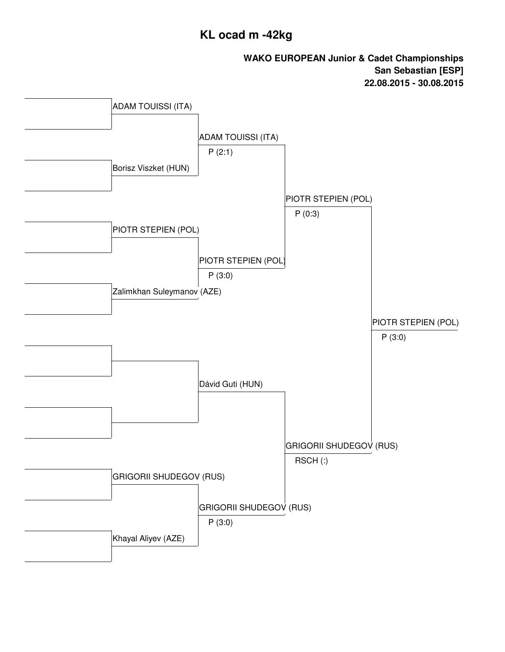## **KL ocad m -42kg**

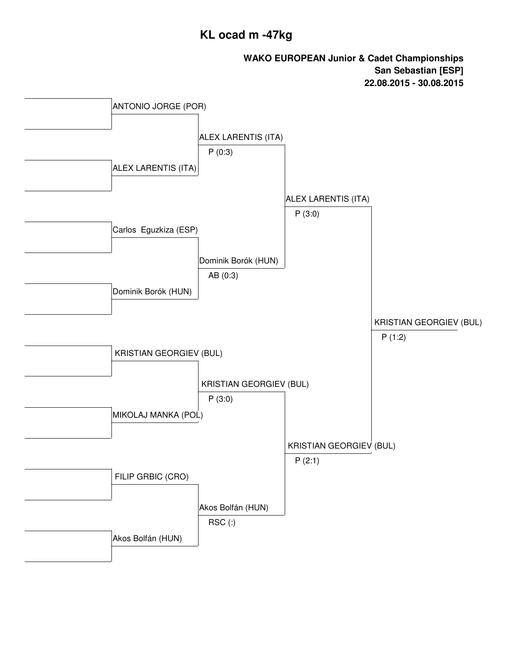## **KL ocad m -47kg**

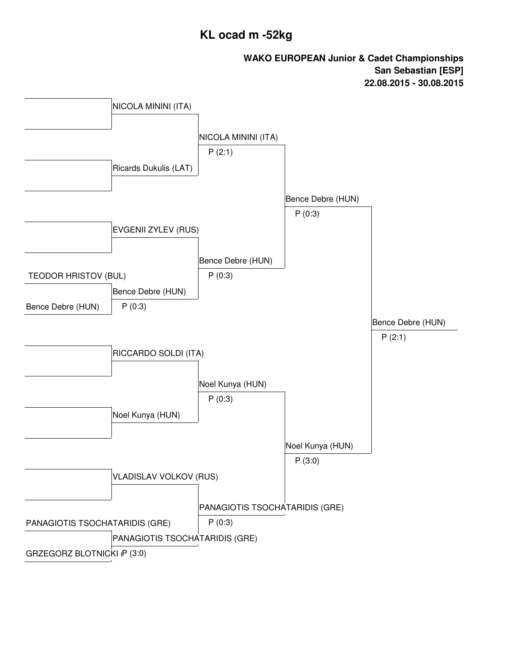## **KL ocad m -52kg**

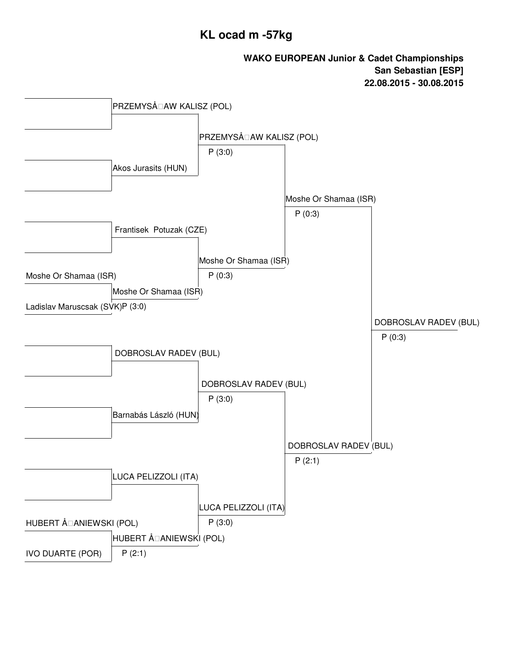## **KL ocad m -57kg**

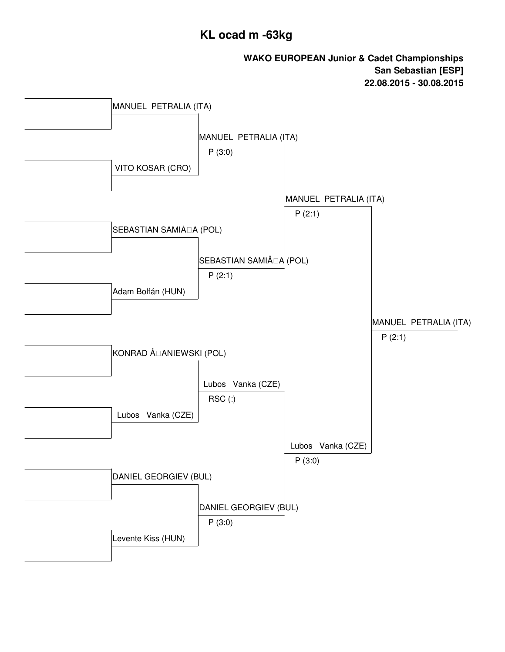### **KL ocad m -63kg**

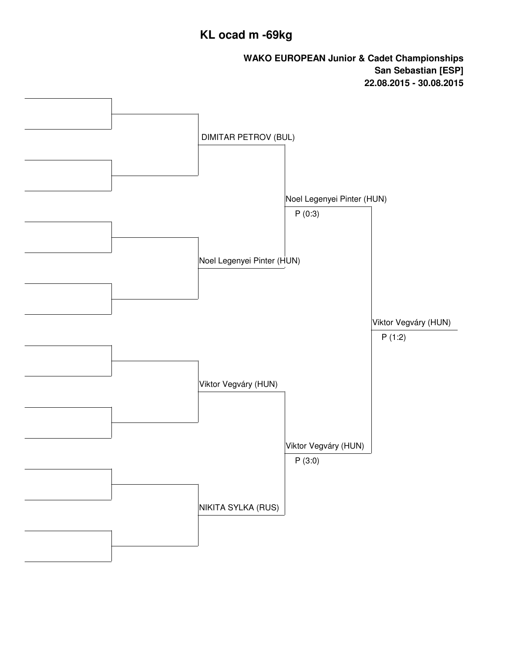# **KL ocad m -69kg**

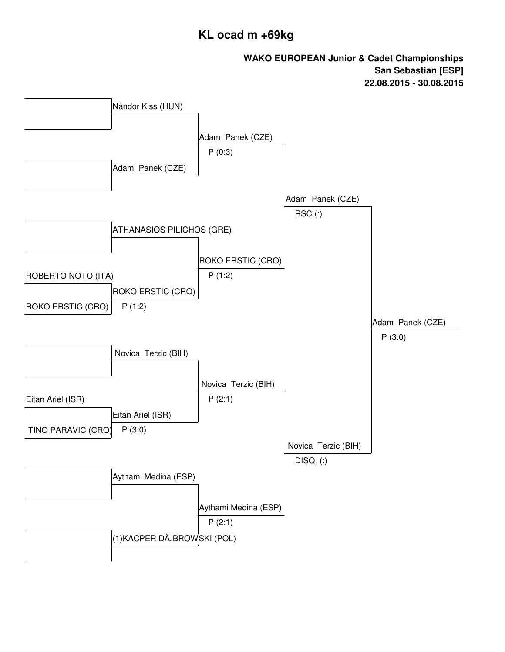## **KL ocad m +69kg**

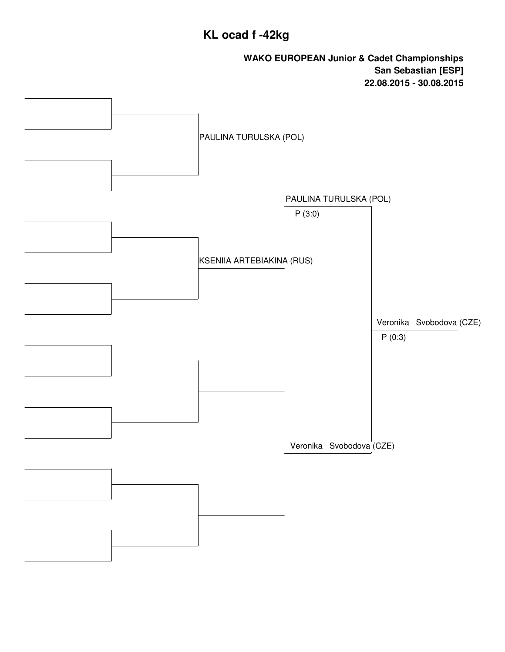# **KL ocad f -42kg**

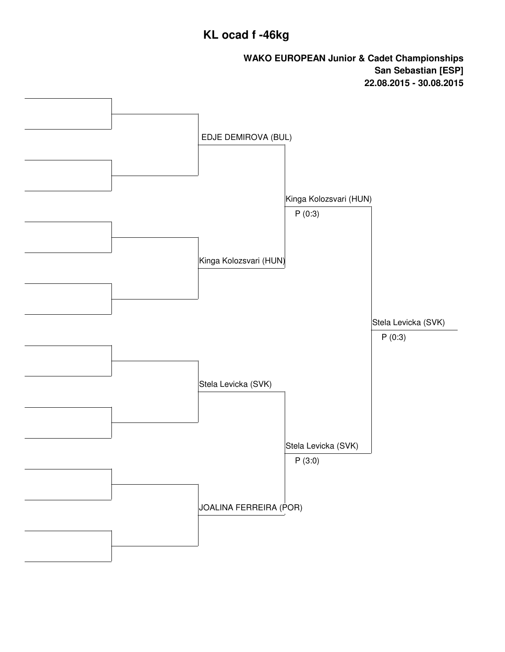## **KL ocad f -46kg**

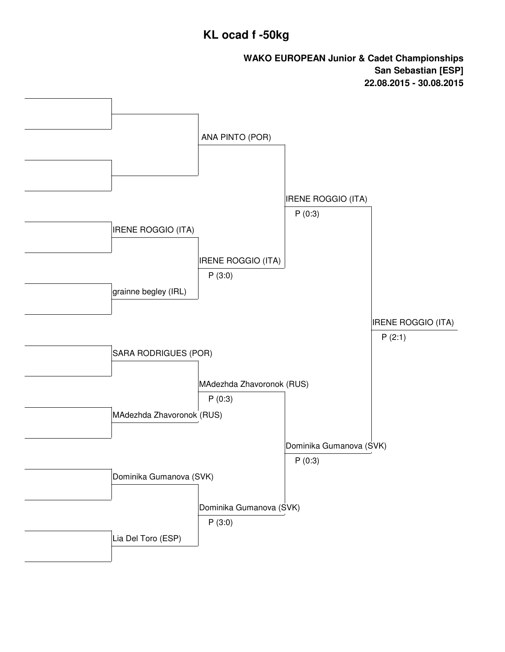### **KL ocad f -50kg**

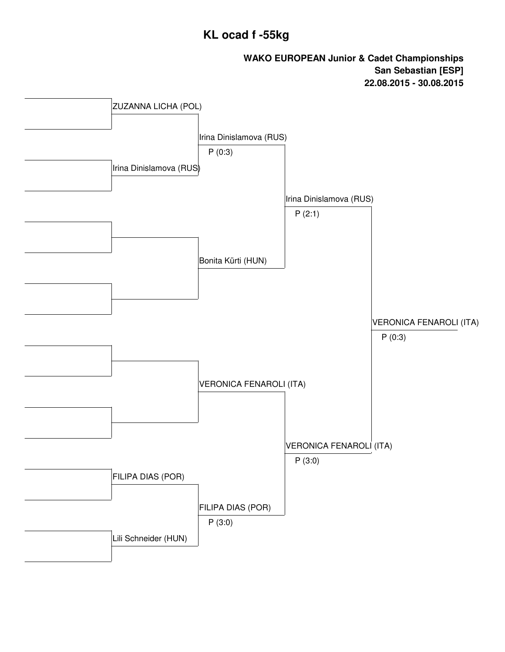## **KL ocad f -55kg**

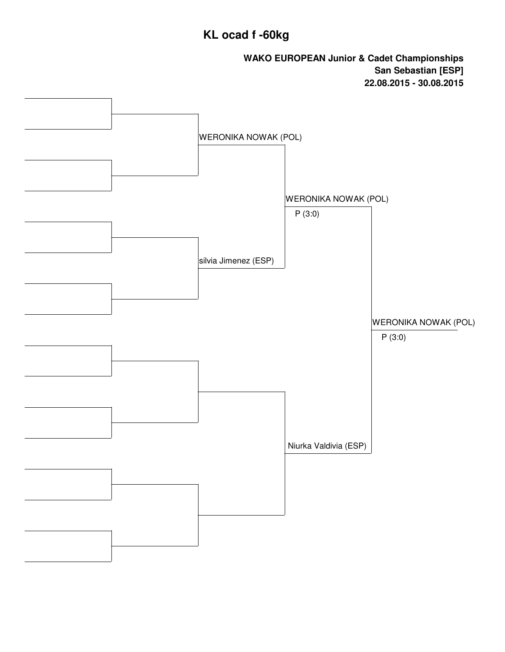# **KL ocad f -60kg**

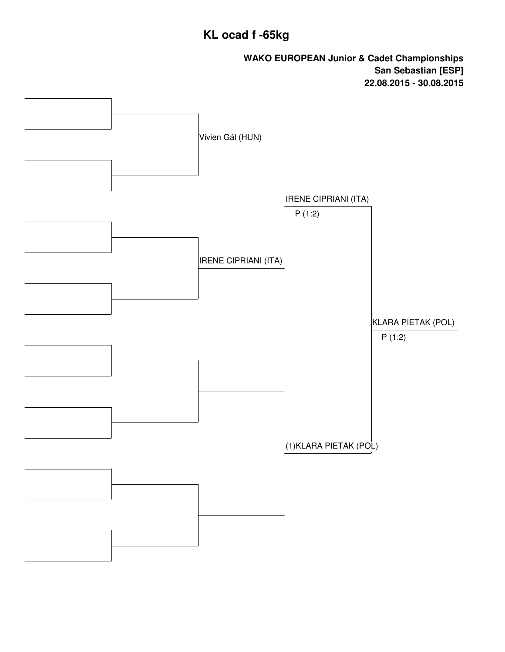# **KL ocad f -65kg**

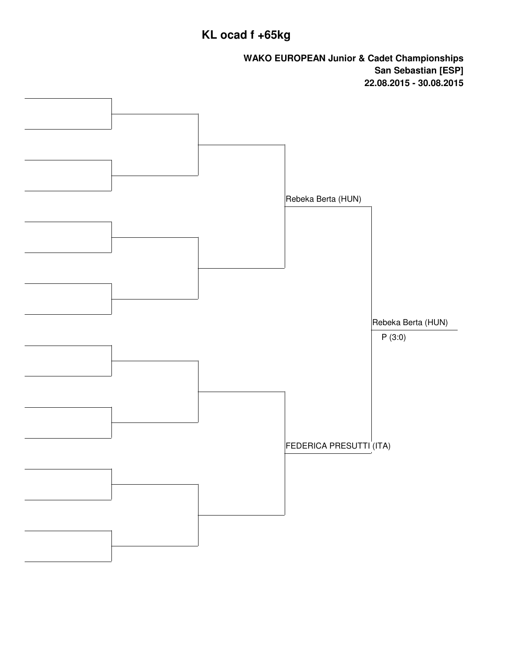# **KL ocad f +65kg**

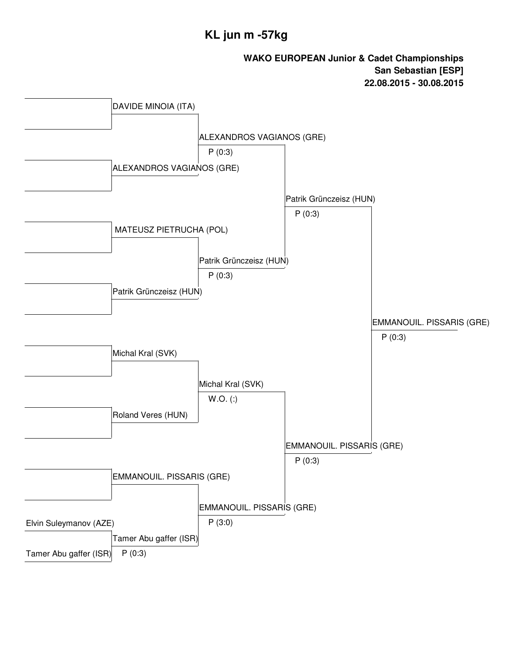## **KL jun m -57kg**

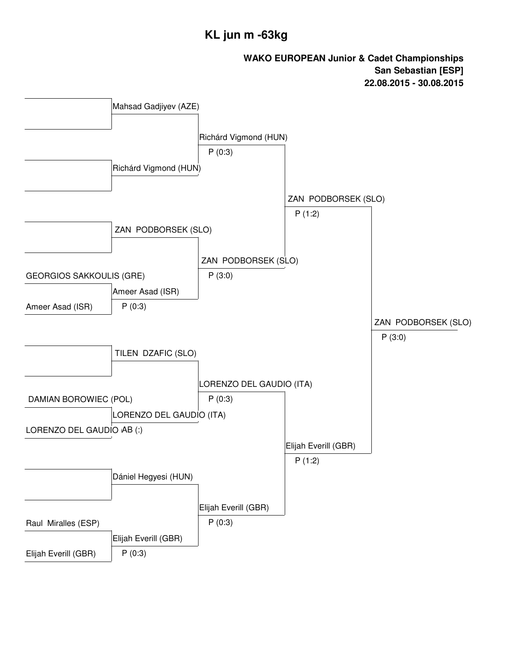## **KL jun m -63kg**

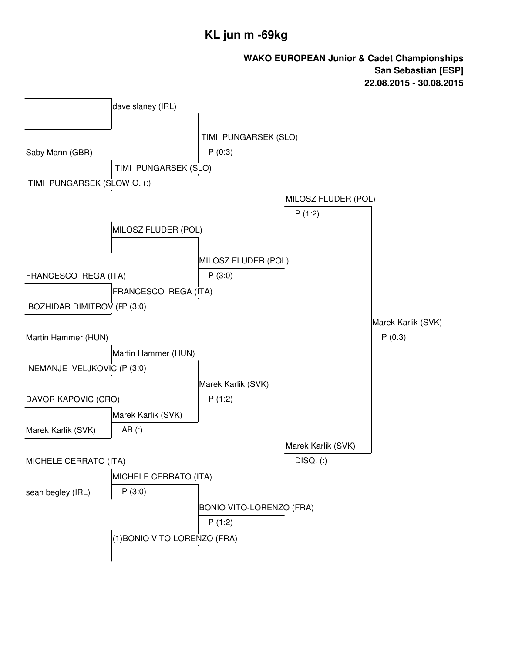### **KL jun m -69kg**

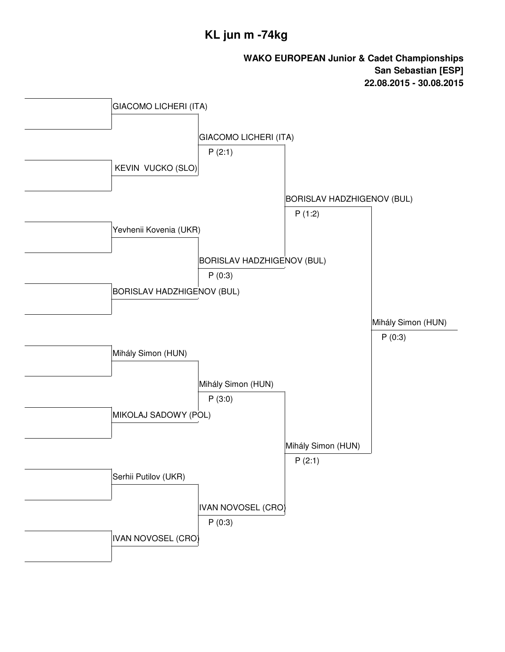### **KL jun m -74kg**

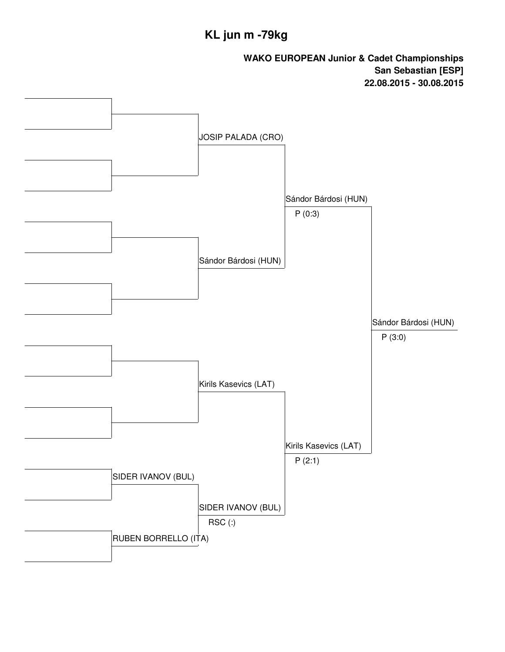# **KL jun m -79kg**

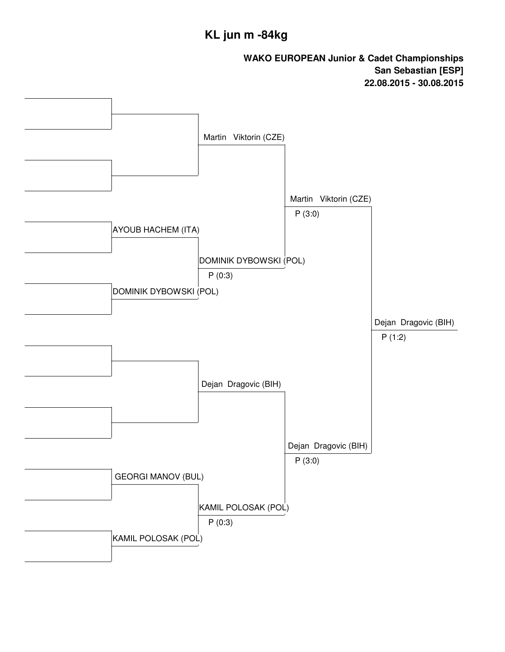### **KL jun m -84kg**

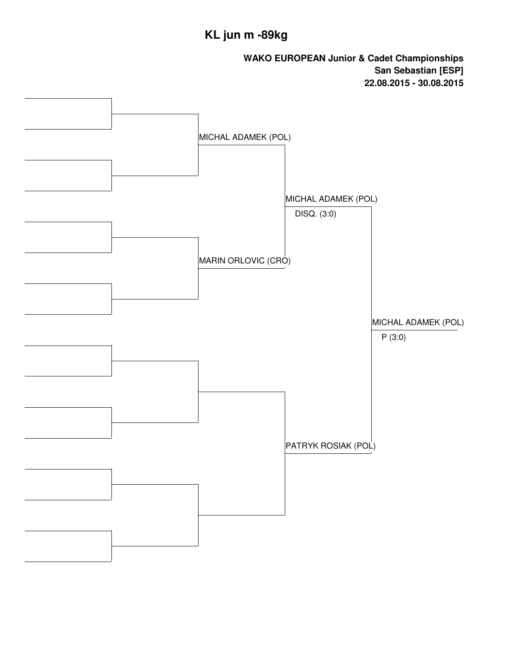# **KL jun m -89kg**

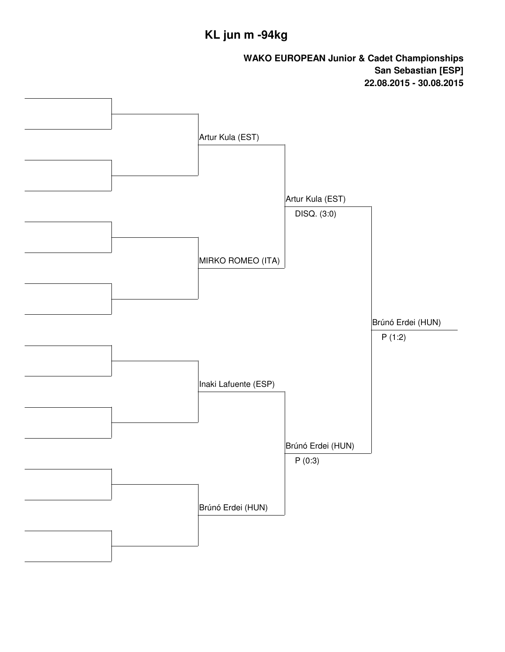# **KL jun m -94kg**

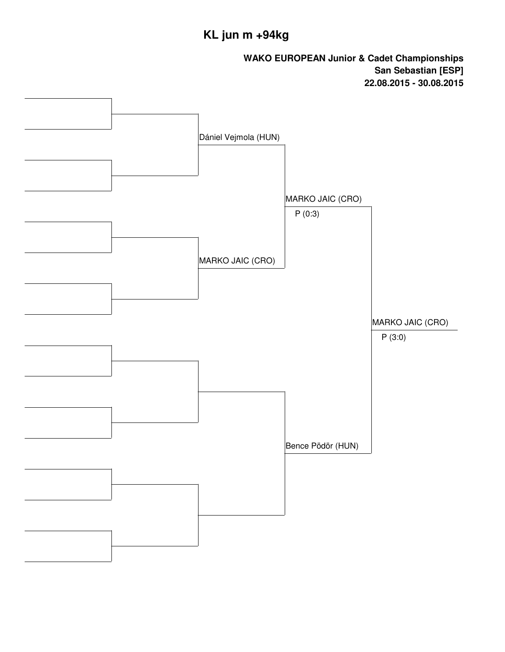# **KL jun m +94kg**

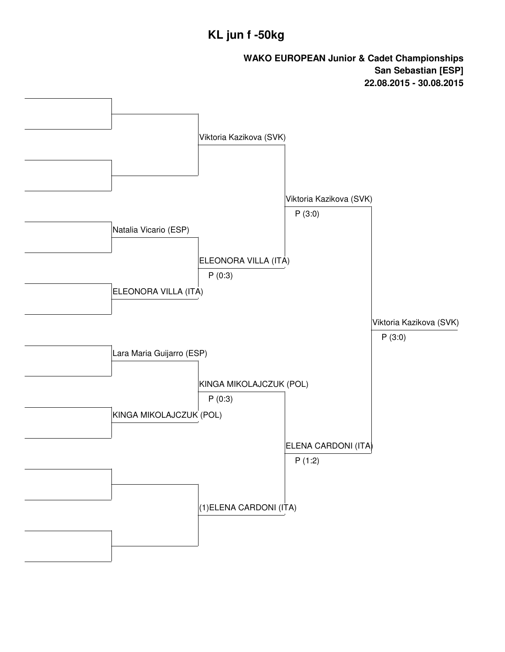## **KL jun f -50kg**

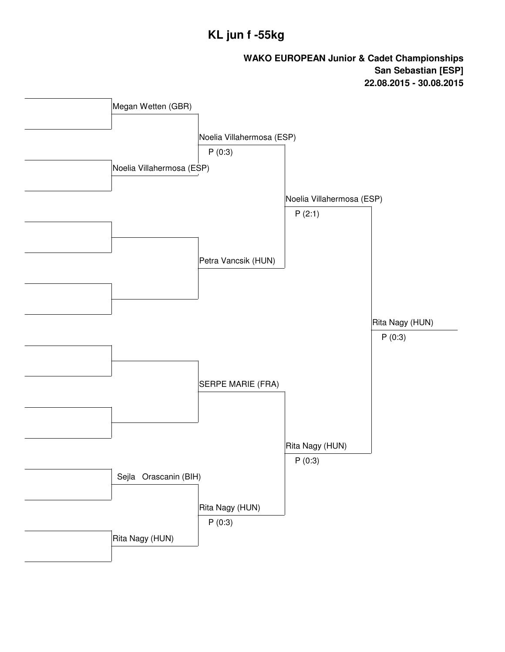## **KL jun f -55kg**

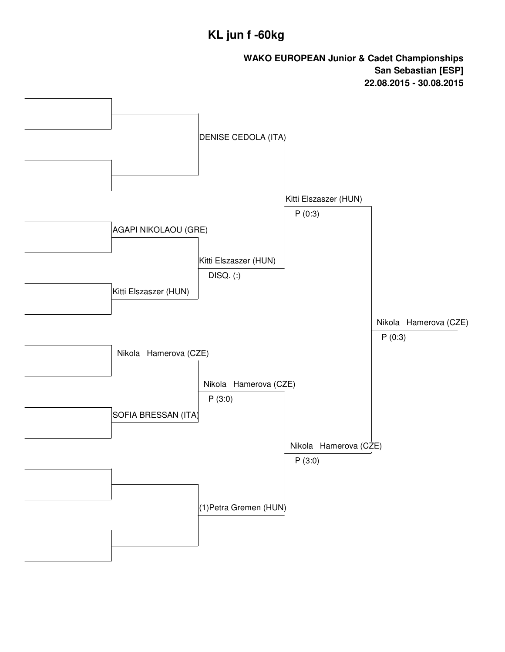## **KL jun f -60kg**

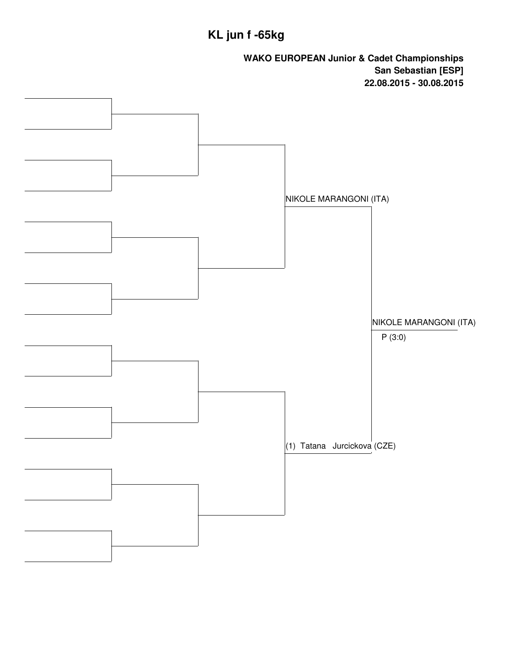# **KL jun f -65kg**

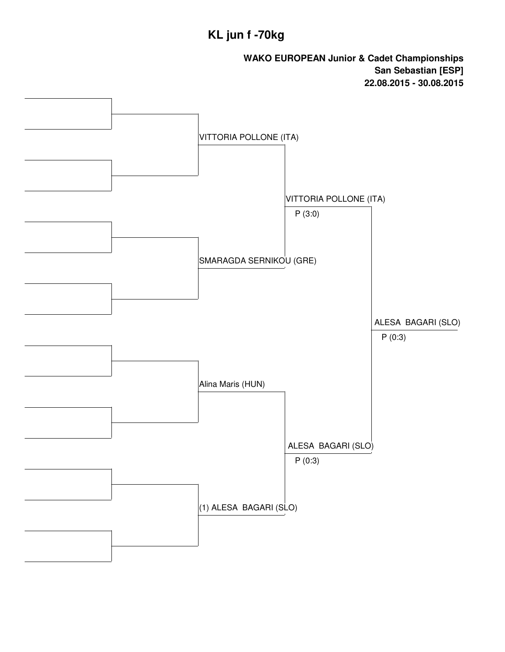# **KL jun f -70kg**